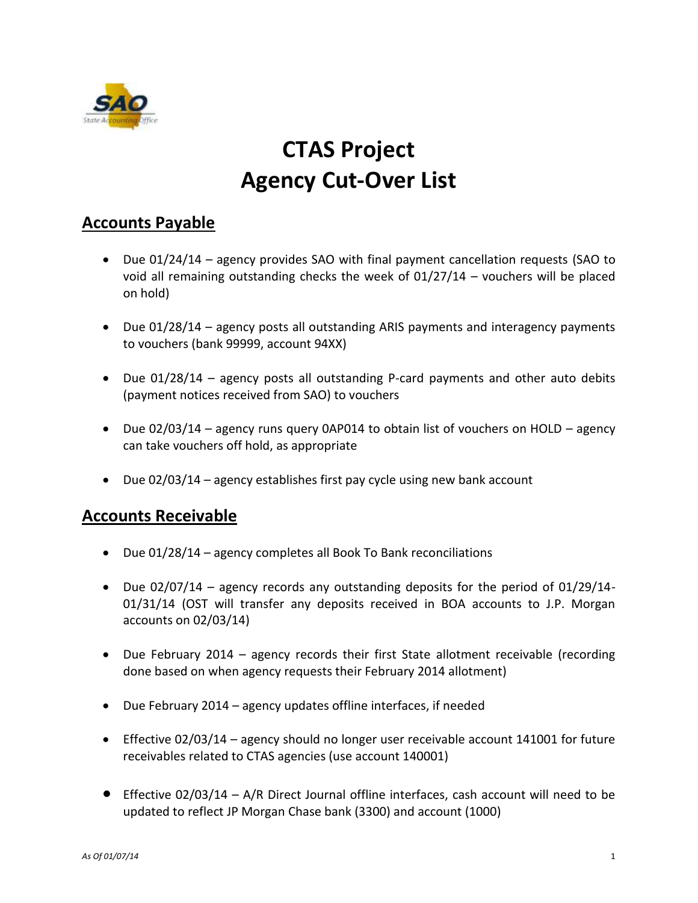

# **CTAS Project Agency Cut-Over List**

## **Accounts Payable**

- Due 01/24/14 agency provides SAO with final payment cancellation requests (SAO to void all remaining outstanding checks the week of 01/27/14 – vouchers will be placed on hold)
- Due 01/28/14 agency posts all outstanding ARIS payments and interagency payments to vouchers (bank 99999, account 94XX)
- Due 01/28/14 agency posts all outstanding P-card payments and other auto debits (payment notices received from SAO) to vouchers
- Due 02/03/14 agency runs query 0AP014 to obtain list of vouchers on HOLD agency can take vouchers off hold, as appropriate
- Due 02/03/14 agency establishes first pay cycle using new bank account

#### **Accounts Receivable**

- Due 01/28/14 agency completes all Book To Bank reconciliations
- Due 02/07/14 agency records any outstanding deposits for the period of 01/29/14- 01/31/14 (OST will transfer any deposits received in BOA accounts to J.P. Morgan accounts on 02/03/14)
- Due February 2014 agency records their first State allotment receivable (recording done based on when agency requests their February 2014 allotment)
- Due February 2014 agency updates offline interfaces, if needed
- Effective 02/03/14 agency should no longer user receivable account 141001 for future receivables related to CTAS agencies (use account 140001)
- Effective 02/03/14 A/R Direct Journal offline interfaces, cash account will need to be updated to reflect JP Morgan Chase bank (3300) and account (1000)